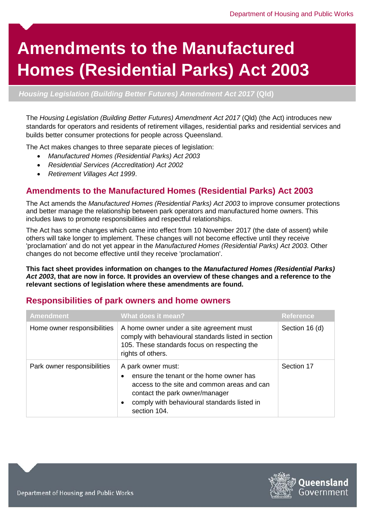# **Amendments to the Manufactured Homes (Residential Parks) Act 2003**

*Housing Legislation (Building Better Futures) Amendment Act 2017* **(Qld)**

The *Housing Legislation (Building Better Futures) Amendment Act 2017* (Qld) (the Act) introduces new standards for operators and residents of retirement villages, residential parks and residential services and builds better consumer protections for people across Queensland.

The Act makes changes to three separate pieces of legislation:

- *Manufactured Homes (Residential Parks) Act 2003*
- *Residential Services (Accreditation) Act 2002*
- *Retirement Villages Act 1999*.

### **Amendments to the Manufactured Homes (Residential Parks) Act 2003**

The Act amends the *Manufactured Homes (Residential Parks) Act 2003* to improve consumer protections and better manage the relationship between park operators and manufactured home owners. This includes laws to promote responsibilities and respectful relationships.

The Act has some changes which came into effect from 10 November 2017 (the date of assent) while others will take longer to implement. These changes will not become effective until they receive 'proclamation' and do not yet appear in the *Manufactured Homes (Residential Parks) Act 2003*. Other changes do not become effective until they receive 'proclamation'.

**This fact sheet provides information on changes to the** *Manufactured Homes (Residential Parks) Act 2003***, that are now in force. It provides an overview of these changes and a reference to the relevant sections of legislation where these amendments are found.** 

| <b>Amendment</b>            | What does it mean?                                                                                                                                                                                            | <b>Reference</b> |
|-----------------------------|---------------------------------------------------------------------------------------------------------------------------------------------------------------------------------------------------------------|------------------|
| Home owner responsibilities | A home owner under a site agreement must<br>comply with behavioural standards listed in section<br>105. These standards focus on respecting the<br>rights of others.                                          | Section 16 (d)   |
| Park owner responsibilities | A park owner must:<br>ensure the tenant or the home owner has<br>access to the site and common areas and can<br>contact the park owner/manager<br>comply with behavioural standards listed in<br>section 104. | Section 17       |

#### **Responsibilities of park owners and home owners**